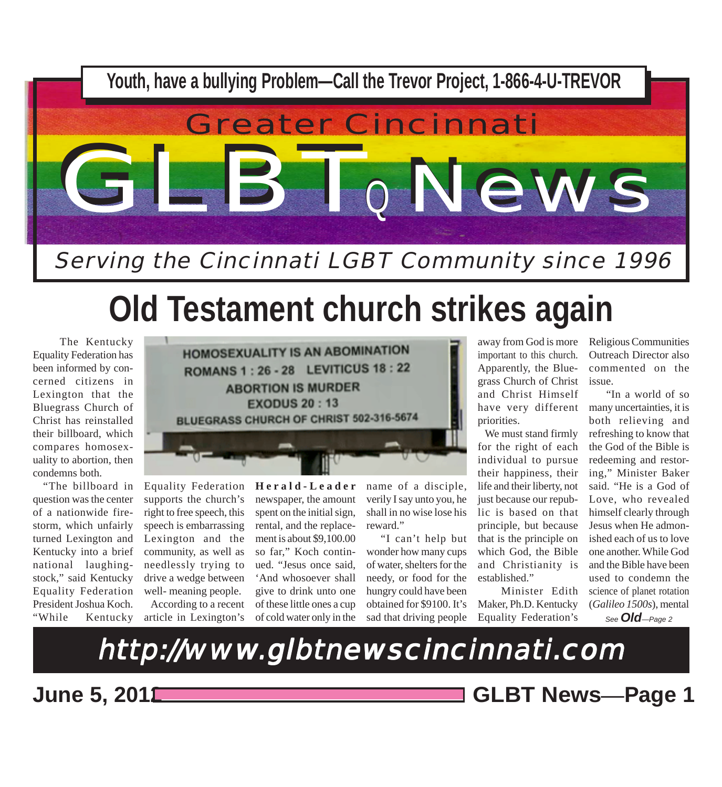

# **Old Testament church strikes again**

 The Kentucky Equality Federation has been informed by concerned citizens in Lexington that the Bluegrass Church of Christ has reinstalled their billboard, which compares homosexuality to abortion, then condemns both.

 "The billboard in question was the center of a nationwide firestorm, which unfairly turned Lexington and Kentucky into a brief national laughingstock," said Kentucky Equality Federation President Joshua Koch. "While Kentucky



Equality Federation supports the church's right to free speech, this speech is embarrassing Lexington and the community, as well as needlessly trying to drive a wedge between well- meaning people. According to a recent

article in Lexington's

**Herald-Leader** newspaper, the amount spent on the initial sign, rental, and the replacement is about \$9,100.00 so far," Koch continued. "Jesus once said, 'And whosoever shall give to drink unto one of these little ones a cup of cold water only in the

name of a disciple, verily I say unto you, he shall in no wise lose his reward."

 "I can't help but wonder how many cups of water, shelters for the needy, or food for the hungry could have been obtained for \$9100. It's sad that driving people

away from God is more important to this church. Apparently, the Bluegrass Church of Christ and Christ Himself priorities.

 We must stand firmly for the right of each individual to pursue their happiness, their life and their liberty, not just because our republic is based on that principle, but because that is the principle on which God, the Bible and Christianity is established."

 Minister Edith Maker, Ph.D. Kentucky Equality Federation's

Religious Communities Outreach Director also commented on the issue.

have very different many uncertainties, it is "In a world of so both relieving and refreshing to know that the God of the Bible is redeeming and restoring," Minister Baker said. "He is a God of Love, who revealed himself clearly through Jesus when He admonished each of us to love one another. While God and the Bible have been used to condemn the science of planet rotation (*Galileo 1500s*), mental

*See Old—Page 2*

http://www.glbtnewscincinnati.com

**June 5, 2012 GLBT News***—***Page 1**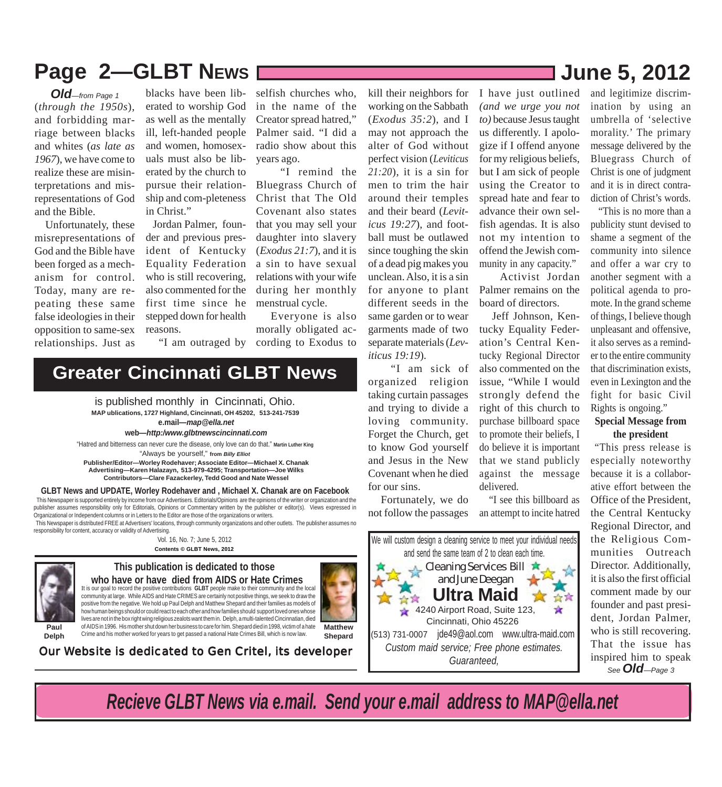# Page 2-GLBT NEws 2012

(*through the 1950s*), and forbidding marriage between blacks and whites (*as late as 1967*), we have come to realize these are misinterpretations and misrepresentations of God and the Bible. *Old—from Page 1*

 Unfortunately, these misrepresentations of God and the Bible have been forged as a mechanism for control. Today, many are repeating these same false ideologies in their opposition to same-sex relationships. Just as

blacks have been liberated to worship God as well as the mentally ill, left-handed people and women, homosexuals must also be liberated by the church to pursue their relationship and com-pleteness in Christ."

 Jordan Palmer, founder and previous president of Kentucky Equality Federation who is still recovering, also commented for the first time since he stepped down for health reasons.

selfish churches who, in the name of the Creator spread hatred," Palmer said. "I did a radio show about this years ago.

 "I remind the Bluegrass Church of Christ that The Old Covenant also states that you may sell your daughter into slavery (*Exodus 21:7*), and it is a sin to have sexual relations with your wife during her monthly menstrual cycle.

 Everyone is also morally obligated according to Exodus to

"I am outraged by

## **Greater Cincinnati GLBT News**

**MAP ublications, 1727 Highland, Cincinnati, OH 45202, 513-241-7539** is published monthly in Cincinnati, Ohio. **e.mail***—map@ella.net*

**web***—http:/www.glbtnewscincinnati.com*

"Always be yourself," **from** *Billy Elliot* **Publisher/Editor—Worley Rodehaver; Associate Editor—Michael X. Chanak Advertising—Karen Halazayn, 513-979-4295; Transportation—Joe Wilks Contributors—Clare Fazackerley, Tedd Good and Nate Wessel** "Hatred and bitterness can never cure the disease, only love can do that." **Martin Luther King**

### **GLBT News and UPDATE, Worley Rodehaver and , Michael X. Chanak are on Facebook**

 This Newspaper is supported entirely by income from our Advertisers. Editorials/Opinions are the opinions of the writer or organization and the publisher assumes responsibility only for Editorials, Opinions or Commentary written by the publisher or editor(s). Views expressed in Organizational or Independent columns or in Letters to the Editor are those of the organizations or writers. This Newspaper is distributed FREE at Advertisers' locations, through community organizations and other outlets. The publisher assumes no

responsibility for content, accuracy or validity of Advertising. Vol. 16, No. 7; June 5, 2012

**Contents © GLBT News, 2012**



### **This publication is dedicated to those** It is our goal to record the positive contributions **GLBT** people make to their community and the local **who have or have died from AIDS or Hate Crimes**

community at large. While AIDS and Hate CRIMES are certainly not positive things, we seek to draw the positive from the negative. We hold up Paul Delph and Matthew Shepard and their families as models of .<br>how human beings should or could react to each other and how families should support loved ones whose lives are not in the box right wing religious zealots want them in. Delph, a multi-talented Cincinnatian, died of AIDS in 1996. His mother shut down her business to care for him. Shepard died in 1998, victim of a hate Crime and his mother worked for years to get passed a national Hate Crimes Bill, which is now law.

**Delph Shepard** Our Website is dedicated to Gen Critel, its developer

(*Exodus 35:2*), and I may not approach the alter of God without perfect vision (*Leviticus 21:20*), it is a sin for men to trim the hair around their temples and their beard (*Leviticus 19:27*), and football must be outlawed since toughing the skin of a dead pig makes you unclean. Also, it is a sin for anyone to plant different seeds in the same garden or to wear garments made of two separate materials (*Leviticus 19:19*). "I am sick of

kill their neighbors for working on the Sabbath

organized religion taking curtain passages and trying to divide a loving community. Forget the Church, get to know God yourself and Jesus in the New Covenant when he died for our sins.

 Fortunately, we do not follow the passages



I have just outlined *(and we urge you not to)* because Jesus taught us differently. I apologize if I offend anyone for my religious beliefs, but I am sick of people using the Creator to spread hate and fear to advance their own selfish agendas. It is also not my intention to offend the Jewish community in any capacity."

 Activist Jordan Palmer remains on the board of directors.

 Jeff Johnson, Kentucky Equality Federation's Central Kentucky Regional Director also commented on the issue, "While I would strongly defend the right of this church to purchase billboard space to promote their beliefs, I do believe it is important that we stand publicly against the message delivered.

 "I see this billboard as an attempt to incite hatred and legitimize discrimination by using an umbrella of 'selective morality.' The primary message delivered by the Bluegrass Church of Christ is one of judgment and it is in direct contradiction of Christ's words.

 "This is no more than a publicity stunt devised to shame a segment of the community into silence and offer a war cry to another segment with a political agenda to promote. In the grand scheme of things, I believe though unpleasant and offensive, it also serves as a reminder to the entire community that discrimination exists, even in Lexington and the fight for basic Civil Rights is ongoing."

### **Special Message from the president**

"This press release is especially noteworthy because it is a collaborative effort between the Office of the President, the Central Kentucky Regional Director, and the Religious Communities Outreach Director. Additionally, it is also the first official comment made by our founder and past president, Jordan Palmer, who is still recovering. That the issue has inspired him to speak *See Old—Page 3*

*Recieve GLBT News via e.mail. Send your e.mail address to MAP@ella.net*

**Matthew**